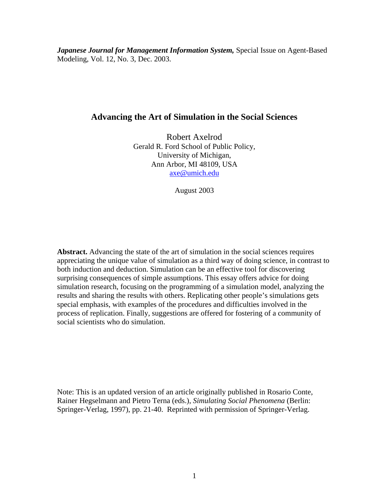*Japanese Journal for Management Information System,* Special Issue on Agent-Based Modeling, Vol. 12, No. 3, Dec. 2003.

# **Advancing the Art of Simulation in the Social Sciences**

Robert Axelrod Gerald R. Ford School of Public Policy, University of Michigan, Ann Arbor, MI 48109, USA [axe@umich.edu](mailto:axe@umich.edu)

August 2003

**Abstract.** Advancing the state of the art of simulation in the social sciences requires appreciating the unique value of simulation as a third way of doing science, in contrast to both induction and deduction. Simulation can be an effective tool for discovering surprising consequences of simple assumptions. This essay offers advice for doing simulation research, focusing on the programming of a simulation model, analyzing the results and sharing the results with others. Replicating other people's simulations gets special emphasis, with examples of the procedures and difficulties involved in the process of replication. Finally, suggestions are offered for fostering of a community of social scientists who do simulation.

Note: This is an updated version of an article originally published in Rosario Conte, Rainer Hegselmann and Pietro Terna (eds.), *Simulating Social Phenomena* (Berlin: Springer-Verlag, 1997), pp. 21-40. Reprinted with permission of Springer-Verlag.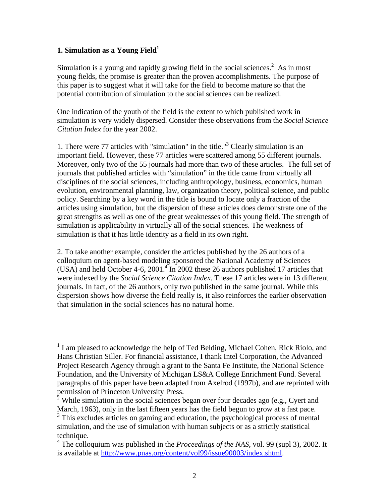## **1. Simulation as a Young Field[1](#page-1-0)**

 $\overline{a}$ 

Simulation is a young and rapidly growing field in the social sciences. $2$  As in most young fields, the promise is greater than the proven accomplishments. The purpose of this paper is to suggest what it will take for the field to become mature so that the potential contribution of simulation to the social sciences can be realized.

One indication of the youth of the field is the extent to which published work in simulation is very widely dispersed. Consider these observations from the *Social Science Citation Index* for the year 2002.

1. There were 77 articles with "simulation" in the title.["3](#page-1-2) Clearly simulation is an important field. However, these 77 articles were scattered among 55 different journals. Moreover, only two of the 55 journals had more than two of these articles. The full set of journals that published articles with "simulation" in the title came from virtually all disciplines of the social sciences, including anthropology, business, economics, human evolution, environmental planning, law, organization theory, political science, and public policy. Searching by a key word in the title is bound to locate only a fraction of the articles using simulation, but the dispersion of these articles does demonstrate one of the great strengths as well as one of the great weaknesses of this young field. The strength of simulation is applicability in virtually all of the social sciences. The weakness of simulation is that it has little identity as a field in its own right.

2. To take another example, consider the articles published by the 26 authors of a colloquium on agent-based modeling sponsored the National Academy of Sciences (USA) and held October [4](#page-1-3)-6, 2001. $\frac{4}{1}$  In 2002 these 26 authors published 17 articles that were indexed by the *Social Science Citation Index*. These 17 articles were in 13 different journals. In fact, of the 26 authors, only two published in the same journal. While this dispersion shows how diverse the field really is, it also reinforces the earlier observation that simulation in the social sciences has no natural home.

<span id="page-1-0"></span><sup>&</sup>lt;sup>1</sup> I am pleased to acknowledge the help of Ted Belding, Michael Cohen, Rick Riolo, and Hans Christian Siller. For financial assistance, I thank Intel Corporation, the Advanced Project Research Agency through a grant to the Santa Fe Institute, the National Science Foundation, and the University of Michigan LS&A College Enrichment Fund. Several paragraphs of this paper have been adapted from Axelrod (1997b), and are reprinted with permission of Princeton University Press.

<span id="page-1-2"></span><span id="page-1-1"></span><sup>&</sup>lt;sup>2</sup> While simulation in the social sciences began over four decades ago (e.g., Cyert and March, 1963), only in the last fifteen years has the field begun to grow at a fast pace. <sup>3</sup> This excludes articles on gaming and education, the psychological process of mental simulation, and the use of simulation with human subjects or as a strictly statistical technique.

<span id="page-1-3"></span><sup>&</sup>lt;sup>4</sup> The colloquium was published in the *Proceedings of the NAS*, vol. 99 (supl 3), 2002. It is available at [http://www.pnas.org/content/vol99/issue90003/index.shtml.](http://www.pnas.org/content/vol99/issue90003/index.shtml)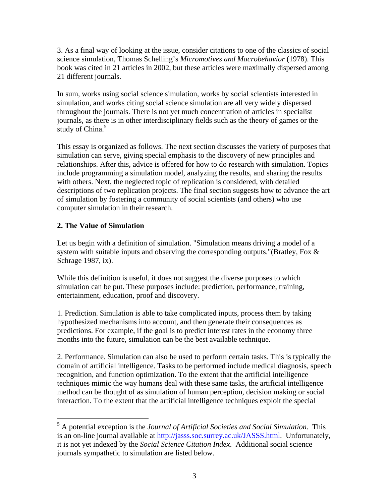3. As a final way of looking at the issue, consider citations to one of the classics of social science simulation, Thomas Schelling's *Micromotives and Macrobehavior* (1978). This book was cited in 21 articles in 2002, but these articles were maximally dispersed among 21 different journals.

In sum, works using social science simulation, works by social scientists interested in simulation, and works citing social science simulation are all very widely dispersed throughout the journals. There is not yet much concentration of articles in specialist journals, as there is in other interdisciplinary fields such as the theory of games or the study of China.<sup>[5](#page-2-0)</sup>

This essay is organized as follows. The next section discusses the variety of purposes that simulation can serve, giving special emphasis to the discovery of new principles and relationships. After this, advice is offered for how to do research with simulation. Topics include programming a simulation model, analyzing the results, and sharing the results with others. Next, the neglected topic of replication is considered, with detailed descriptions of two replication projects. The final section suggests how to advance the art of simulation by fostering a community of social scientists (and others) who use computer simulation in their research.

# **2. The Value of Simulation**

1

Let us begin with a definition of simulation. "Simulation means driving a model of a system with suitable inputs and observing the corresponding outputs."(Bratley, Fox  $\&$ Schrage 1987, ix).

While this definition is useful, it does not suggest the diverse purposes to which simulation can be put. These purposes include: prediction, performance, training, entertainment, education, proof and discovery.

1. Prediction. Simulation is able to take complicated inputs, process them by taking hypothesized mechanisms into account, and then generate their consequences as predictions. For example, if the goal is to predict interest rates in the economy three months into the future, simulation can be the best available technique.

2. Performance. Simulation can also be used to perform certain tasks. This is typically the domain of artificial intelligence. Tasks to be performed include medical diagnosis, speech recognition, and function optimization. To the extent that the artificial intelligence techniques mimic the way humans deal with these same tasks, the artificial intelligence method can be thought of as simulation of human perception, decision making or social interaction. To the extent that the artificial intelligence techniques exploit the special

<span id="page-2-0"></span><sup>5</sup> A potential exception is the *Journal of Artificial Societies and Social Simulation*. This is an on-line journal available at [http://jasss.soc.surrey.ac.uk/JASSS.html.](http://jasss.soc.surrey.ac.uk/JASSS.html) Unfortunately, it is not yet indexed by the *Social Science Citation Index*. Additional social science journals sympathetic to simulation are listed below.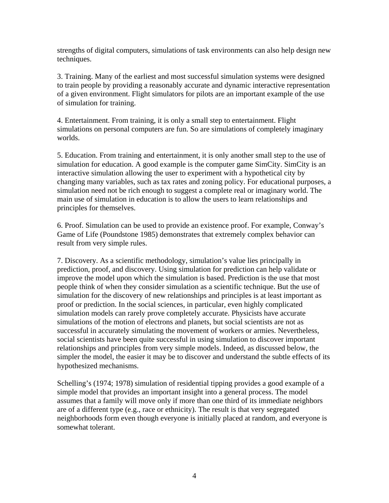strengths of digital computers, simulations of task environments can also help design new techniques.

3. Training. Many of the earliest and most successful simulation systems were designed to train people by providing a reasonably accurate and dynamic interactive representation of a given environment. Flight simulators for pilots are an important example of the use of simulation for training.

4. Entertainment. From training, it is only a small step to entertainment. Flight simulations on personal computers are fun. So are simulations of completely imaginary worlds.

5. Education. From training and entertainment, it is only another small step to the use of simulation for education. A good example is the computer game SimCity. SimCity is an interactive simulation allowing the user to experiment with a hypothetical city by changing many variables, such as tax rates and zoning policy. For educational purposes, a simulation need not be rich enough to suggest a complete real or imaginary world. The main use of simulation in education is to allow the users to learn relationships and principles for themselves.

6. Proof. Simulation can be used to provide an existence proof. For example, Conway's Game of Life (Poundstone 1985) demonstrates that extremely complex behavior can result from very simple rules.

7. Discovery. As a scientific methodology, simulation's value lies principally in prediction, proof, and discovery. Using simulation for prediction can help validate or improve the model upon which the simulation is based. Prediction is the use that most people think of when they consider simulation as a scientific technique. But the use of simulation for the discovery of new relationships and principles is at least important as proof or prediction. In the social sciences, in particular, even highly complicated simulation models can rarely prove completely accurate. Physicists have accurate simulations of the motion of electrons and planets, but social scientists are not as successful in accurately simulating the movement of workers or armies. Nevertheless, social scientists have been quite successful in using simulation to discover important relationships and principles from very simple models. Indeed, as discussed below, the simpler the model, the easier it may be to discover and understand the subtle effects of its hypothesized mechanisms.

Schelling's (1974; 1978) simulation of residential tipping provides a good example of a simple model that provides an important insight into a general process. The model assumes that a family will move only if more than one third of its immediate neighbors are of a different type (e.g., race or ethnicity). The result is that very segregated neighborhoods form even though everyone is initially placed at random, and everyone is somewhat tolerant.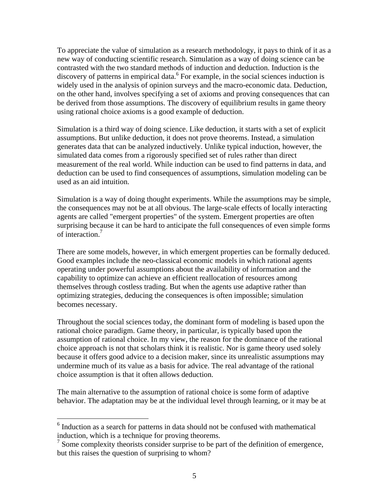To appreciate the value of simulation as a research methodology, it pays to think of it as a new way of conducting scientific research. Simulation as a way of doing science can be contrasted with the two standard methods of induction and deduction. Induction is the discovery of patterns in empirical data.<sup>[6](#page-4-0)</sup> For example, in the social sciences induction is widely used in the analysis of opinion surveys and the macro-economic data. Deduction, on the other hand, involves specifying a set of axioms and proving consequences that can be derived from those assumptions. The discovery of equilibrium results in game theory using rational choice axioms is a good example of deduction.

Simulation is a third way of doing science. Like deduction, it starts with a set of explicit assumptions. But unlike deduction, it does not prove theorems. Instead, a simulation generates data that can be analyzed inductively. Unlike typical induction, however, the simulated data comes from a rigorously specified set of rules rather than direct measurement of the real world. While induction can be used to find patterns in data, and deduction can be used to find consequences of assumptions, simulation modeling can be used as an aid intuition.

Simulation is a way of doing thought experiments. While the assumptions may be simple, the consequences may not be at all obvious. The large-scale effects of locally interacting agents are called "emergent properties" of the system. Emergent properties are often surprising because it can be hard to anticipate the full consequences of even simple forms of interaction.<sup>[7](#page-4-1)</sup>

There are some models, however, in which emergent properties can be formally deduced. Good examples include the neo-classical economic models in which rational agents operating under powerful assumptions about the availability of information and the capability to optimize can achieve an efficient reallocation of resources among themselves through costless trading. But when the agents use adaptive rather than optimizing strategies, deducing the consequences is often impossible; simulation becomes necessary.

Throughout the social sciences today, the dominant form of modeling is based upon the rational choice paradigm. Game theory, in particular, is typically based upon the assumption of rational choice. In my view, the reason for the dominance of the rational choice approach is not that scholars think it is realistic. Nor is game theory used solely because it offers good advice to a decision maker, since its unrealistic assumptions may undermine much of its value as a basis for advice. The real advantage of the rational choice assumption is that it often allows deduction.

The main alternative to the assumption of rational choice is some form of adaptive behavior. The adaptation may be at the individual level through learning, or it may be at

1

<span id="page-4-0"></span><sup>&</sup>lt;sup>6</sup> Induction as a search for patterns in data should not be confused with mathematical induction, which is a technique for proving theorems.

<span id="page-4-1"></span> $\frac{1}{2}$  Some complexity theorists consider surprise to be part of the definition of emergence, but this raises the question of surprising to whom?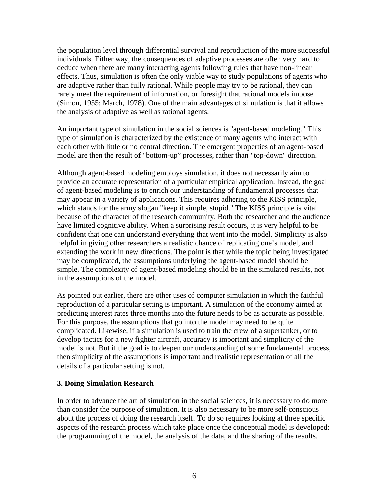the population level through differential survival and reproduction of the more successful individuals. Either way, the consequences of adaptive processes are often very hard to deduce when there are many interacting agents following rules that have non-linear effects. Thus, simulation is often the only viable way to study populations of agents who are adaptive rather than fully rational. While people may try to be rational, they can rarely meet the requirement of information, or foresight that rational models impose (Simon, 1955; March, 1978). One of the main advantages of simulation is that it allows the analysis of adaptive as well as rational agents.

An important type of simulation in the social sciences is "agent-based modeling." This type of simulation is characterized by the existence of many agents who interact with each other with little or no central direction. The emergent properties of an agent-based model are then the result of "bottom-up" processes, rather than "top-down" direction.

Although agent-based modeling employs simulation, it does not necessarily aim to provide an accurate representation of a particular empirical application. Instead, the goal of agent-based modeling is to enrich our understanding of fundamental processes that may appear in a variety of applications. This requires adhering to the KISS principle, which stands for the army slogan "keep it simple, stupid." The KISS principle is vital because of the character of the research community. Both the researcher and the audience have limited cognitive ability. When a surprising result occurs, it is very helpful to be confident that one can understand everything that went into the model. Simplicity is also helpful in giving other researchers a realistic chance of replicating one's model, and extending the work in new directions. The point is that while the topic being investigated may be complicated, the assumptions underlying the agent-based model should be simple. The complexity of agent-based modeling should be in the simulated results, not in the assumptions of the model.

As pointed out earlier, there are other uses of computer simulation in which the faithful reproduction of a particular setting is important. A simulation of the economy aimed at predicting interest rates three months into the future needs to be as accurate as possible. For this purpose, the assumptions that go into the model may need to be quite complicated. Likewise, if a simulation is used to train the crew of a supertanker, or to develop tactics for a new fighter aircraft, accuracy is important and simplicity of the model is not. But if the goal is to deepen our understanding of some fundamental process, then simplicity of the assumptions is important and realistic representation of all the details of a particular setting is not.

#### **3. Doing Simulation Research**

In order to advance the art of simulation in the social sciences, it is necessary to do more than consider the purpose of simulation. It is also necessary to be more self-conscious about the process of doing the research itself. To do so requires looking at three specific aspects of the research process which take place once the conceptual model is developed: the programming of the model, the analysis of the data, and the sharing of the results.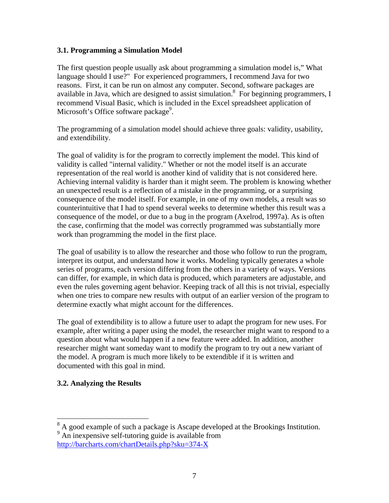## **3.1. Programming a Simulation Model**

The first question people usually ask about programming a simulation model is," What language should I use?" For experienced programmers, I recommend Java for two reasons. First, it can be run on almost any computer. Second, software packages are available in Java, which are designed to assist simulation.<sup>[8](#page-6-0)</sup> For beginning programmers, I recommend Visual Basic, which is included in the Excel spreadsheet application of Microsoft's Office software package<sup>9</sup>.

The programming of a simulation model should achieve three goals: validity, usability, and extendibility.

The goal of validity is for the program to correctly implement the model. This kind of validity is called "internal validity." Whether or not the model itself is an accurate representation of the real world is another kind of validity that is not considered here. Achieving internal validity is harder than it might seem. The problem is knowing whether an unexpected result is a reflection of a mistake in the programming, or a surprising consequence of the model itself. For example, in one of my own models, a result was so counterintuitive that I had to spend several weeks to determine whether this result was a consequence of the model, or due to a bug in the program (Axelrod, 1997a). As is often the case, confirming that the model was correctly programmed was substantially more work than programming the model in the first place.

The goal of usability is to allow the researcher and those who follow to run the program, interpret its output, and understand how it works. Modeling typically generates a whole series of programs, each version differing from the others in a variety of ways. Versions can differ, for example, in which data is produced, which parameters are adjustable, and even the rules governing agent behavior. Keeping track of all this is not trivial, especially when one tries to compare new results with output of an earlier version of the program to determine exactly what might account for the differences.

The goal of extendibility is to allow a future user to adapt the program for new uses. For example, after writing a paper using the model, the researcher might want to respond to a question about what would happen if a new feature were added. In addition, another researcher might want someday want to modify the program to try out a new variant of the model. A program is much more likely to be extendible if it is written and documented with this goal in mind.

# **3.2. Analyzing the Results**

<span id="page-6-1"></span><span id="page-6-0"></span><sup>&</sup>lt;sup>8</sup> A good example of such a package is Ascape developed at the Brookings Institution. <sup>9</sup> An inexpensive self-tutoring guide is available from <http://barcharts.com/chartDetails.php?sku=374-X>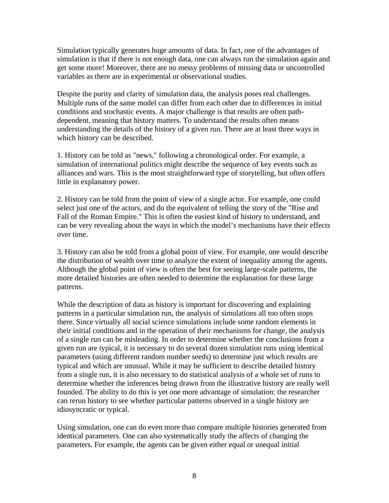Simulation typically generates huge amounts of data. In fact, one of the advantages of simulation is that if there is not enough data, one can always run the simulation again and get some more! Moreover, there are no messy problems of missing data or uncontrolled variables as there are in experimental or observational studies.

Despite the purity and clarity of simulation data, the analysis poses real challenges. Multiple runs of the same model can differ from each other due to differences in initial conditions and stochastic events. A major challenge is that results are often pathdependent, meaning that history matters. To understand the results often means understanding the details of the history of a given run. There are at least three ways in which history can be described.

1. History can be told as "news," following a chronological order. For example, a simulation of international politics might describe the sequence of key events such as alliances and wars. This is the most straightforward type of storytelling, but often offers little in explanatory power.

2. History can be told from the point of view of a single actor. For example, one could select just one of the actors, and do the equivalent of telling the story of the "Rise and Fall of the Roman Empire." This is often the easiest kind of history to understand, and can be very revealing about the ways in which the model's mechanisms have their effects over time.

3. History can also be told from a global point of view. For example, one would describe the distribution of wealth over time to analyze the extent of inequality among the agents. Although the global point of view is often the best for seeing large-scale patterns, the more detailed histories are often needed to determine the explanation for these large patterns.

While the description of data as history is important for discovering and explaining patterns in a particular simulation run, the analysis of simulations all too often stops there. Since virtually all social science simulations include some random elements in their initial conditions and in the operation of their mechanisms for change, the analysis of a single run can be misleading. In order to determine whether the conclusions from a given run are typical, it is necessary to do several dozen simulation runs using identical parameters (using different random number seeds) to determine just which results are typical and which are unusual. While it may be sufficient to describe detailed history from a single run, it is also necessary to do statistical analysis of a whole set of runs to determine whether the inferences being drawn from the illustrative history are really well founded. The ability to do this is yet one more advantage of simulation: the researcher can rerun history to see whether particular patterns observed in a single history are idiosyncratic or typical.

Using simulation, one can do even more than compare multiple histories generated from identical parameters. One can also systematically study the affects of changing the parameters. For example, the agents can be given either equal or unequal initial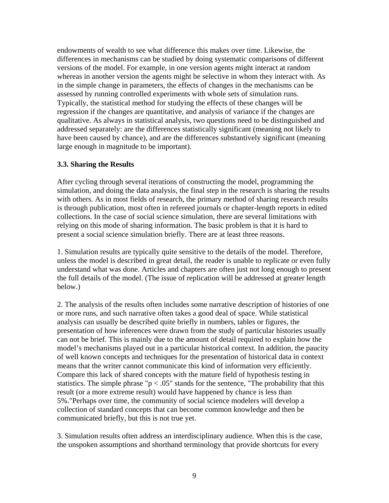endowments of wealth to see what difference this makes over time. Likewise, the differences in mechanisms can be studied by doing systematic comparisons of different versions of the model. For example, in one version agents might interact at random whereas in another version the agents might be selective in whom they interact with. As in the simple change in parameters, the effects of changes in the mechanisms can be assessed by running controlled experiments with whole sets of simulation runs. Typically, the statistical method for studying the effects of these changes will be regression if the changes are quantitative, and analysis of variance if the changes are qualitative. As always in statistical analysis, two questions need to be distinguished and addressed separately: are the differences statistically significant (meaning not likely to have been caused by chance), and are the differences substantively significant (meaning large enough in magnitude to be important).

## **3.3. Sharing the Results**

After cycling through several iterations of constructing the model, programming the simulation, and doing the data analysis, the final step in the research is sharing the results with others. As in most fields of research, the primary method of sharing research results is through publication, most often in refereed journals or chapter-length reports in edited collections. In the case of social science simulation, there are several limitations with relying on this mode of sharing information. The basic problem is that it is hard to present a social science simulation briefly. There are at least three reasons.

1. Simulation results are typically quite sensitive to the details of the model. Therefore, unless the model is described in great detail, the reader is unable to replicate or even fully understand what was done. Articles and chapters are often just not long enough to present the full details of the model. (The issue of replication will be addressed at greater length below.)

2. The analysis of the results often includes some narrative description of histories of one or more runs, and such narrative often takes a good deal of space. While statistical analysis can usually be described quite briefly in numbers, tables or figures, the presentation of how inferences were drawn from the study of particular histories usually can not be brief. This is mainly due to the amount of detail required to explain how the model's mechanisms played out in a particular historical context. In addition, the paucity of well known concepts and techniques for the presentation of historical data in context means that the writer cannot communicate this kind of information very efficiently. Compare this lack of shared concepts with the mature field of hypothesis testing in statistics. The simple phrase " $p < .05$ " stands for the sentence, "The probability that this result (or a more extreme result) would have happened by chance is less than 5%."Perhaps over time, the community of social science modelers will develop a collection of standard concepts that can become common knowledge and then be communicated briefly, but this is not true yet.

3. Simulation results often address an interdisciplinary audience. When this is the case, the unspoken assumptions and shorthand terminology that provide shortcuts for every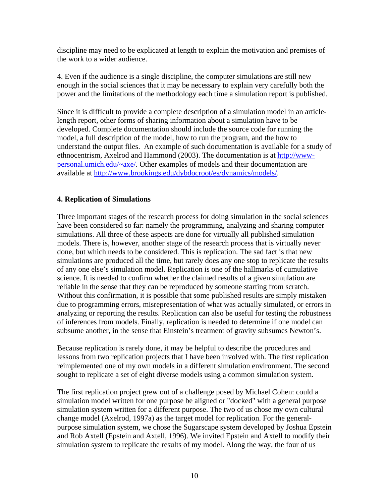discipline may need to be explicated at length to explain the motivation and premises of the work to a wider audience.

4. Even if the audience is a single discipline, the computer simulations are still new enough in the social sciences that it may be necessary to explain very carefully both the power and the limitations of the methodology each time a simulation report is published.

Since it is difficult to provide a complete description of a simulation model in an articlelength report, other forms of sharing information about a simulation have to be developed. Complete documentation should include the source code for running the model, a full description of the model, how to run the program, and the how to understand the output files. An example of such documentation is available for a study of ethnocentrism, Axelrod and Hammond (2003). The documentation is at [http://www](http://www-personal.umich.edu/~axe/)[personal.umich.edu/~axe/.](http://www-personal.umich.edu/~axe/) Other examples of models and their documentation are available at [http://www.brookings.edu/dybdocroot/es/dynamics/models/.](http://www.brookings.edu/dybdocroot/es/dynamics/models/)

## **4. Replication of Simulations**

Three important stages of the research process for doing simulation in the social sciences have been considered so far: namely the programming, analyzing and sharing computer simulations. All three of these aspects are done for virtually all published simulation models. There is, however, another stage of the research process that is virtually never done, but which needs to be considered. This is replication. The sad fact is that new simulations are produced all the time, but rarely does any one stop to replicate the results of any one else's simulation model. Replication is one of the hallmarks of cumulative science. It is needed to confirm whether the claimed results of a given simulation are reliable in the sense that they can be reproduced by someone starting from scratch. Without this confirmation, it is possible that some published results are simply mistaken due to programming errors, misrepresentation of what was actually simulated, or errors in analyzing or reporting the results. Replication can also be useful for testing the robustness of inferences from models. Finally, replication is needed to determine if one model can subsume another, in the sense that Einstein's treatment of gravity subsumes Newton's.

Because replication is rarely done, it may be helpful to describe the procedures and lessons from two replication projects that I have been involved with. The first replication reimplemented one of my own models in a different simulation environment. The second sought to replicate a set of eight diverse models using a common simulation system.

The first replication project grew out of a challenge posed by Michael Cohen: could a simulation model written for one purpose be aligned or "docked" with a general purpose simulation system written for a different purpose. The two of us chose my own cultural change model (Axelrod, 1997a) as the target model for replication. For the generalpurpose simulation system, we chose the Sugarscape system developed by Joshua Epstein and Rob Axtell (Epstein and Axtell, 1996). We invited Epstein and Axtell to modify their simulation system to replicate the results of my model. Along the way, the four of us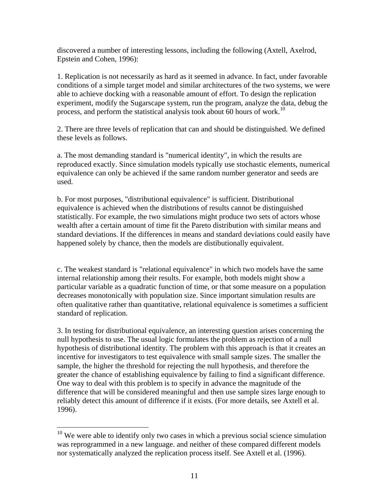discovered a number of interesting lessons, including the following (Axtell, Axelrod, Epstein and Cohen, 1996):

1. Replication is not necessarily as hard as it seemed in advance. In fact, under favorable conditions of a simple target model and similar architectures of the two systems, we were able to achieve docking with a reasonable amount of effort. To design the replication experiment, modify the Sugarscape system, run the program, analyze the data, debug the process, and perform the statistical analysis took about 60 hours of work.<sup>[10](#page-10-0)</sup>

2. There are three levels of replication that can and should be distinguished. We defined these levels as follows.

a. The most demanding standard is "numerical identity", in which the results are reproduced exactly. Since simulation models typically use stochastic elements, numerical equivalence can only be achieved if the same random number generator and seeds are used.

b. For most purposes, "distributional equivalence" is sufficient. Distributional equivalence is achieved when the distributions of results cannot be distinguished statistically. For example, the two simulations might produce two sets of actors whose wealth after a certain amount of time fit the Pareto distribution with similar means and standard deviations. If the differences in means and standard deviations could easily have happened solely by chance, then the models are distibutionally equivalent.

c. The weakest standard is "relational equivalence" in which two models have the same internal relationship among their results. For example, both models might show a particular variable as a quadratic function of time, or that some measure on a population decreases monotonically with population size. Since important simulation results are often qualitative rather than quantitative, relational equivalence is sometimes a sufficient standard of replication.

3. In testing for distributional equivalence, an interesting question arises concerning the null hypothesis to use. The usual logic formulates the problem as rejection of a null hypothesis of distributional identity. The problem with this approach is that it creates an incentive for investigators to test equivalence with small sample sizes. The smaller the sample, the higher the threshold for rejecting the null hypothesis, and therefore the greater the chance of establishing equivalence by failing to find a significant difference. One way to deal with this problem is to specify in advance the magnitude of the difference that will be considered meaningful and then use sample sizes large enough to reliably detect this amount of difference if it exists. (For more details, see Axtell et al. 1996).

 $\overline{a}$ 

<span id="page-10-0"></span> $10$  We were able to identify only two cases in which a previous social science simulation was reprogrammed in a new language. and neither of these compared different models nor systematically analyzed the replication process itself. See Axtell et al. (1996).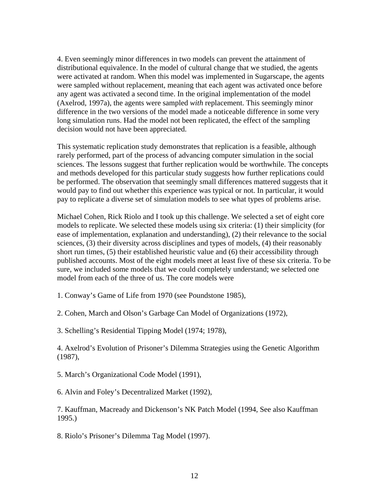4. Even seemingly minor differences in two models can prevent the attainment of distributional equivalence. In the model of cultural change that we studied, the agents were activated at random. When this model was implemented in Sugarscape, the agents were sampled without replacement, meaning that each agent was activated once before any agent was activated a second time. In the original implementation of the model (Axelrod, 1997a), the agents were sampled *with* replacement. This seemingly minor difference in the two versions of the model made a noticeable difference in some very long simulation runs. Had the model not been replicated, the effect of the sampling decision would not have been appreciated.

This systematic replication study demonstrates that replication is a feasible, although rarely performed, part of the process of advancing computer simulation in the social sciences. The lessons suggest that further replication would be worthwhile. The concepts and methods developed for this particular study suggests how further replications could be performed. The observation that seemingly small differences mattered suggests that it would pay to find out whether this experience was typical or not. In particular, it would pay to replicate a diverse set of simulation models to see what types of problems arise.

Michael Cohen, Rick Riolo and I took up this challenge. We selected a set of eight core models to replicate. We selected these models using six criteria: (1) their simplicity (for ease of implementation, explanation and understanding), (2) their relevance to the social sciences, (3) their diversity across disciplines and types of models, (4) their reasonably short run times, (5) their established heuristic value and (6) their accessibility through published accounts. Most of the eight models meet at least five of these six criteria. To be sure, we included some models that we could completely understand; we selected one model from each of the three of us. The core models were

1. Conway's Game of Life from 1970 (see Poundstone 1985),

2. Cohen, March and Olson's Garbage Can Model of Organizations (1972),

3. Schelling's Residential Tipping Model (1974; 1978),

4. Axelrod's Evolution of Prisoner's Dilemma Strategies using the Genetic Algorithm (1987),

5. March's Organizational Code Model (1991),

6. Alvin and Foley's Decentralized Market (1992),

7. Kauffman, Macready and Dickenson's NK Patch Model (1994, See also Kauffman 1995.)

8. Riolo's Prisoner's Dilemma Tag Model (1997).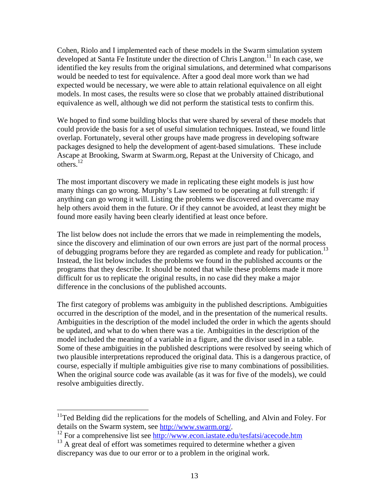Cohen, Riolo and I implemented each of these models in the Swarm simulation system developed at Santa Fe Institute under the direction of Chris Langton.<sup>11</sup> In each case, we identified the key results from the original simulations, and determined what comparisons would be needed to test for equivalence. After a good deal more work than we had expected would be necessary, we were able to attain relational equivalence on all eight models. In most cases, the results were so close that we probably attained distributional equivalence as well, although we did not perform the statistical tests to confirm this.

We hoped to find some building blocks that were shared by several of these models that could provide the basis for a set of useful simulation techniques. Instead, we found little overlap. Fortunately, several other groups have made progress in developing software packages designed to help the development of agent-based simulations. These include Ascape at Brooking, Swarm at Swarm.org, Repast at the University of Chicago, and others. $^{12}$ 

The most important discovery we made in replicating these eight models is just how many things can go wrong. Murphy's Law seemed to be operating at full strength: if anything can go wrong it will. Listing the problems we discovered and overcame may help others avoid them in the future. Or if they cannot be avoided, at least they might be found more easily having been clearly identified at least once before.

The list below does not include the errors that we made in reimplementing the models, since the discovery and elimination of our own errors are just part of the normal process of debugging programs before they are regarded as complete and ready for publication.<sup>[13](#page-12-2)</sup> Instead, the list below includes the problems we found in the published accounts or the programs that they describe. It should be noted that while these problems made it more difficult for us to replicate the original results, in no case did they make a major difference in the conclusions of the published accounts.

The first category of problems was ambiguity in the published descriptions. Ambiguities occurred in the description of the model, and in the presentation of the numerical results. Ambiguities in the description of the model included the order in which the agents should be updated, and what to do when there was a tie. Ambiguities in the description of the model included the meaning of a variable in a figure, and the divisor used in a table. Some of these ambiguities in the published descriptions were resolved by seeing which of two plausible interpretations reproduced the original data. This is a dangerous practice, of course, especially if multiple ambiguities give rise to many combinations of possibilities. When the original source code was available (as it was for five of the models), we could resolve ambiguities directly.

 $\overline{a}$ 

<span id="page-12-0"></span><sup>&</sup>lt;sup>11</sup>Ted Belding did the replications for the models of Schelling, and Alvin and Foley. For details on the Swarm system, s[ee](http://www.econ.iastate.edu/tesfatsi/acecode.htm) [http://www.swarm.org/.](http://www.swarm.org/)<br><sup>12</sup>For a comprehensive list see <http://www.econ.iastate.edu/tesfatsi/acecode.htm>

<span id="page-12-1"></span>

<span id="page-12-2"></span> $13$  A great deal of effort was sometimes required to determine whether a given discrepancy was due to our error or to a problem in the original work.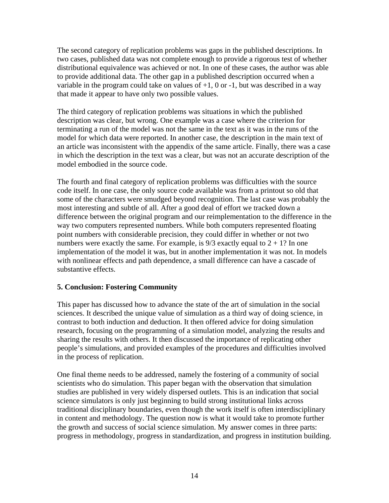The second category of replication problems was gaps in the published descriptions. In two cases, published data was not complete enough to provide a rigorous test of whether distributional equivalence was achieved or not. In one of these cases, the author was able to provide additional data. The other gap in a published description occurred when a variable in the program could take on values of  $+1$ , 0 or  $-1$ , but was described in a way that made it appear to have only two possible values.

The third category of replication problems was situations in which the published description was clear, but wrong. One example was a case where the criterion for terminating a run of the model was not the same in the text as it was in the runs of the model for which data were reported. In another case, the description in the main text of an article was inconsistent with the appendix of the same article. Finally, there was a case in which the description in the text was a clear, but was not an accurate description of the model embodied in the source code.

The fourth and final category of replication problems was difficulties with the source code itself. In one case, the only source code available was from a printout so old that some of the characters were smudged beyond recognition. The last case was probably the most interesting and subtle of all. After a good deal of effort we tracked down a difference between the original program and our reimplementation to the difference in the way two computers represented numbers. While both computers represented floating point numbers with considerable precision, they could differ in whether or not two numbers were exactly the same. For example, is  $9/3$  exactly equal to  $2 + 1$ ? In one implementation of the model it was, but in another implementation it was not. In models with nonlinear effects and path dependence, a small difference can have a cascade of substantive effects.

#### **5. Conclusion: Fostering Community**

This paper has discussed how to advance the state of the art of simulation in the social sciences. It described the unique value of simulation as a third way of doing science, in contrast to both induction and deduction. It then offered advice for doing simulation research, focusing on the programming of a simulation model, analyzing the results and sharing the results with others. It then discussed the importance of replicating other people's simulations, and provided examples of the procedures and difficulties involved in the process of replication.

One final theme needs to be addressed, namely the fostering of a community of social scientists who do simulation. This paper began with the observation that simulation studies are published in very widely dispersed outlets. This is an indication that social science simulators is only just beginning to build strong institutional links across traditional disciplinary boundaries, even though the work itself is often interdisciplinary in content and methodology. The question now is what it would take to promote further the growth and success of social science simulation. My answer comes in three parts: progress in methodology, progress in standardization, and progress in institution building.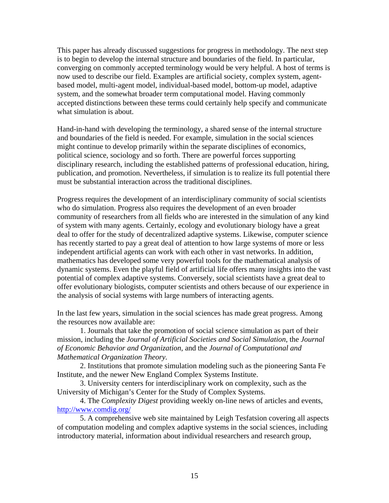This paper has already discussed suggestions for progress in methodology. The next step is to begin to develop the internal structure and boundaries of the field. In particular, converging on commonly accepted terminology would be very helpful. A host of terms is now used to describe our field. Examples are artificial society, complex system, agentbased model, multi-agent model, individual-based model, bottom-up model, adaptive system, and the somewhat broader term computational model. Having commonly accepted distinctions between these terms could certainly help specify and communicate what simulation is about.

Hand-in-hand with developing the terminology, a shared sense of the internal structure and boundaries of the field is needed. For example, simulation in the social sciences might continue to develop primarily within the separate disciplines of economics, political science, sociology and so forth. There are powerful forces supporting disciplinary research, including the established patterns of professional education, hiring, publication, and promotion. Nevertheless, if simulation is to realize its full potential there must be substantial interaction across the traditional disciplines.

Progress requires the development of an interdisciplinary community of social scientists who do simulation. Progress also requires the development of an even broader community of researchers from all fields who are interested in the simulation of any kind of system with many agents. Certainly, ecology and evolutionary biology have a great deal to offer for the study of decentralized adaptive systems. Likewise, computer science has recently started to pay a great deal of attention to how large systems of more or less independent artificial agents can work with each other in vast networks. In addition, mathematics has developed some very powerful tools for the mathematical analysis of dynamic systems. Even the playful field of artificial life offers many insights into the vast potential of complex adaptive systems. Conversely, social scientists have a great deal to offer evolutionary biologists, computer scientists and others because of our experience in the analysis of social systems with large numbers of interacting agents.

In the last few years, simulation in the social sciences has made great progress. Among the resources now available are:

1. Journals that take the promotion of social science simulation as part of their mission, including the *Journal of Artificial Societies and Social Simulation*, the *Journal of Economic Behavior and Organization*, and the *Journal of Computational and Mathematical Organization Theory.* 

2. Institutions that promote simulation modeling such as the pioneering Santa Fe Institute, and the newer New England Complex Systems Institute.

3. University centers for interdisciplinary work on complexity, such as the University of Michigan's Center for the Study of Complex Systems.

 4. The *Complexity Digest* providing weekly on-line news of articles and events, <http://www.comdig.org/>

5. A comprehensive web site maintained by Leigh Tesfatsion covering all aspects of computation modeling and complex adaptive systems in the social sciences, including introductory material, information about individual researchers and research group,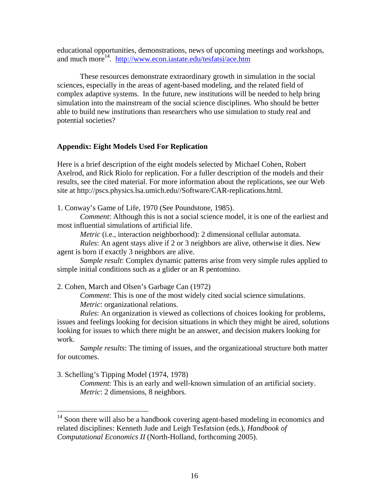educational opportunities, demonstrations, news of upcoming meetings and workshops, and much more<sup>14</sup>. <http://www.econ.iastate.edu/tesfatsi/ace.htm>

These resources demonstrate extraordinary growth in simulation in the social sciences, especially in the areas of agent-based modeling, and the related field of complex adaptive systems. In the future, new institutions will be needed to help bring simulation into the mainstream of the social science disciplines. Who should be better able to build new institutions than researchers who use simulation to study real and potential societies?

## **Appendix: Eight Models Used For Replication**

Here is a brief description of the eight models selected by Michael Cohen, Robert Axelrod, and Rick Riolo for replication. For a fuller description of the models and their results, see the cited material. For more information about the replications, see our Web site at http://pscs.physics.lsa.umich.edu//Software/CAR-replications.html.

1. Conway's Game of Life, 1970 (See Poundstone, 1985).

*Comment*: Although this is not a social science model, it is one of the earliest and most influential simulations of artificial life.

*Metric* (i.e., interaction neighborhood): 2 dimensional cellular automata.

*Rules*: An agent stays alive if 2 or 3 neighbors are alive, otherwise it dies. New agent is born if exactly 3 neighbors are alive.

*Sample result*: Complex dynamic patterns arise from very simple rules applied to simple initial conditions such as a glider or an R pentomino.

2. Cohen, March and Olsen's Garbage Can (1972)

*Comment*: This is one of the most widely cited social science simulations. *Metric*: organizational relations.

*Rules*: An organization is viewed as collections of choices looking for problems, issues and feelings looking for decision situations in which they might be aired, solutions looking for issues to which there might be an answer, and decision makers looking for work.

*Sample results*: The timing of issues, and the organizational structure both matter for outcomes.

3. Schelling's Tipping Model (1974, 1978)

 $\overline{a}$ 

*Comment*: This is an early and well-known simulation of an artificial society. *Metric*: 2 dimensions, 8 neighbors*.* 

<span id="page-15-0"></span><sup>&</sup>lt;sup>14</sup> Soon there will also be a handbook covering agent-based modeling in economics and related disciplines: Kenneth Jude and Leigh Tesfatsion (eds.), *Handbook of Computational Economics II* (North-Holland, forthcoming 2005).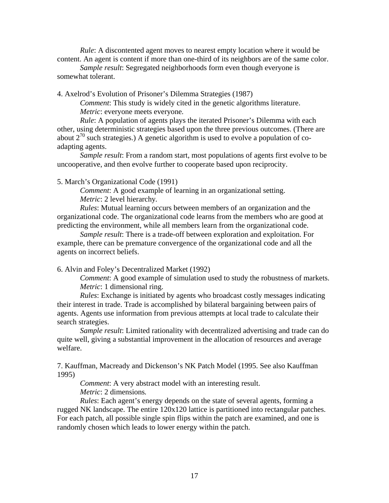*Rule*: A discontented agent moves to nearest empty location where it would be content. An agent is content if more than one-third of its neighbors are of the same color.

*Sample result*: Segregated neighborhoods form even though everyone is somewhat tolerant.

4. Axelrod's Evolution of Prisoner's Dilemma Strategies (1987)

*Comment*: This study is widely cited in the genetic algorithms literature. *Metric*: everyone meets everyone*.* 

*Rule*: A population of agents plays the iterated Prisoner's Dilemma with each other, using deterministic strategies based upon the three previous outcomes. (There are about  $2^{70}$  such strategies.) A genetic algorithm is used to evolve a population of coadapting agents.

*Sample result*: From a random start, most populations of agents first evolve to be uncooperative, and then evolve further to cooperate based upon reciprocity.

5. March's Organizational Code (1991)

*Comment*: A good example of learning in an organizational setting. *Metric*: 2 level hierarchy*.* 

*Rules*: Mutual learning occurs between members of an organization and the organizational code. The organizational code learns from the members who are good at predicting the environment, while all members learn from the organizational code.

*Sample result*: There is a trade-off between exploration and exploitation. For example, there can be premature convergence of the organizational code and all the agents on incorrect beliefs.

6. Alvin and Foley's Decentralized Market (1992)

*Comment*: A good example of simulation used to study the robustness of markets. *Metric*: 1 dimensional ring.

*Rules*: Exchange is initiated by agents who broadcast costly messages indicating their interest in trade. Trade is accomplished by bilateral bargaining between pairs of agents. Agents use information from previous attempts at local trade to calculate their search strategies.

*Sample result*: Limited rationality with decentralized advertising and trade can do quite well, giving a substantial improvement in the allocation of resources and average welfare.

7. Kauffman, Macready and Dickenson's NK Patch Model (1995. See also Kauffman 1995)

*Comment*: A very abstract model with an interesting result. *Metric*: 2 dimensions*.* 

*Rules*: Each agent's energy depends on the state of several agents, forming a rugged NK landscape. The entire 120x120 lattice is partitioned into rectangular patches. For each patch, all possible single spin flips within the patch are examined, and one is randomly chosen which leads to lower energy within the patch.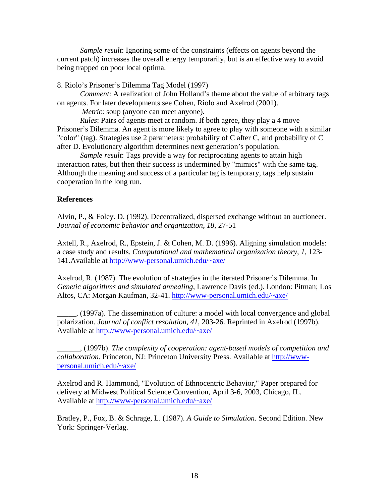*Sample result*: Ignoring some of the constraints (effects on agents beyond the current patch) increases the overall energy temporarily, but is an effective way to avoid being trapped on poor local optima.

8. Riolo's Prisoner's Dilemma Tag Model (1997)

*Comment*: A realization of John Holland's theme about the value of arbitrary tags on agents. For later developments see Cohen, Riolo and Axelrod (2001).

 *Metric*: soup (anyone can meet anyone)*.* 

*Rules*: Pairs of agents meet at random. If both agree, they play a 4 move Prisoner's Dilemma. An agent is more likely to agree to play with someone with a similar "color" (tag). Strategies use 2 parameters: probability of C after C, and probability of C after D. Evolutionary algorithm determines next generation's population.

*Sample result*: Tags provide a way for reciprocating agents to attain high interaction rates, but then their success is undermined by "mimics" with the same tag. Although the meaning and success of a particular tag is temporary, tags help sustain cooperation in the long run.

#### **References**

Alvin, P., & Foley. D. (1992). Decentralized, dispersed exchange without an auctioneer. *Journal of economic behavior and organization*, *18*, 27-51

Axtell, R., Axelrod, R., Epstein, J. & Cohen, M. D. (1996). Aligning simulation models: a case study and results. *Computational and mathematical organization theory*, *1*, 123- 141.Available at<http://www-personal.umich.edu/~axe/>

Axelrod, R. (1987). The evolution of strategies in the iterated Prisoner's Dilemma. In *Genetic algorithms and simulated annealing*, Lawrence Davis (ed.). London: Pitman; Los Altos, CA: Morgan Kaufman, 32-41. <http://www-personal.umich.edu/~axe/>

\_\_\_\_\_, (1997a). The dissemination of culture: a model with local convergence and global polarization. *Journal of conflict resolution*, *41*, 203-26. Reprinted in Axelrod (1997b). Available at<http://www-personal.umich.edu/~axe/>

\_\_\_\_\_\_, (1997b). *The complexity of cooperation: agent-based models of competition and collaboration*. Princeton, NJ: Princeton University Press. Available at [http://www](http://www-personal.umich.edu/~axe/)[personal.umich.edu/~axe/](http://www-personal.umich.edu/~axe/)

Axelrod and R. Hammond, "Evolution of Ethnocentric Behavior," Paper prepared for delivery at Midwest Political Science Convention, April 3-6, 2003, Chicago, IL. Available at<http://www-personal.umich.edu/~axe/>

Bratley, P., Fox, B. & Schrage, L. (1987). *A Guide to Simulation*. Second Edition. New York: Springer-Verlag.